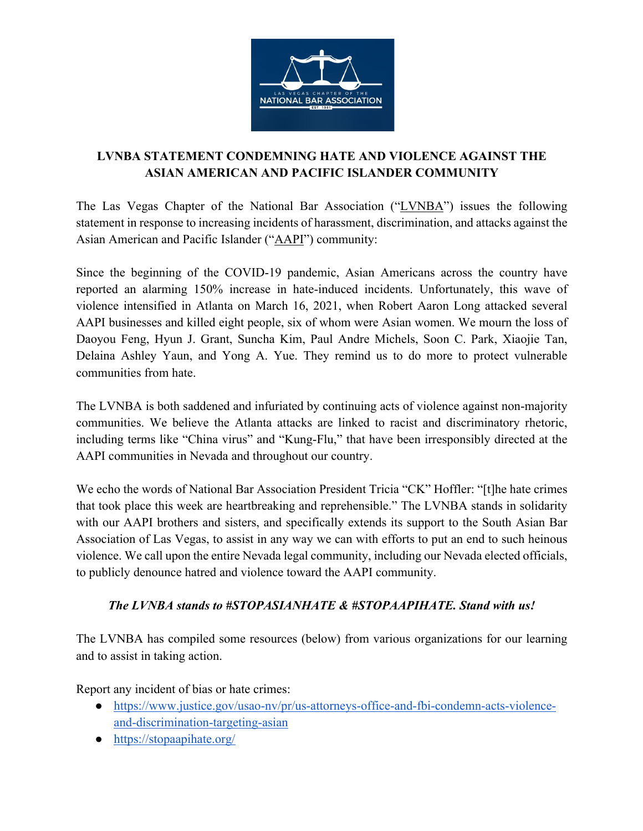

## **LVNBA STATEMENT CONDEMNING HATE AND VIOLENCE AGAINST THE ASIAN AMERICAN AND PACIFIC ISLANDER COMMUNITY**

The Las Vegas Chapter of the National Bar Association ("LVNBA") issues the following statement in response to increasing incidents of harassment, discrimination, and attacks against the Asian American and Pacific Islander ("AAPI") community:

Since the beginning of the COVID-19 pandemic, Asian Americans across the country have reported an alarming 150% increase in hate-induced incidents. Unfortunately, this wave of violence intensified in Atlanta on March 16, 2021, when Robert Aaron Long attacked several AAPI businesses and killed eight people, six of whom were Asian women. We mourn the loss of Daoyou Feng, Hyun J. Grant, Suncha Kim, Paul Andre Michels, Soon C. Park, Xiaojie Tan, Delaina Ashley Yaun, and Yong A. Yue. They remind us to do more to protect vulnerable communities from hate.

The LVNBA is both saddened and infuriated by continuing acts of violence against non-majority communities. We believe the Atlanta attacks are linked to racist and discriminatory rhetoric, including terms like "China virus" and "Kung-Flu," that have been irresponsibly directed at the AAPI communities in Nevada and throughout our country.

We echo the words of National Bar Association President Tricia "CK" Hoffler: "[t]he hate crimes that took place this week are heartbreaking and reprehensible." The LVNBA stands in solidarity with our AAPI brothers and sisters, and specifically extends its support to the South Asian Bar Association of Las Vegas, to assist in any way we can with efforts to put an end to such heinous violence. We call upon the entire Nevada legal community, including our Nevada elected officials, to publicly denounce hatred and violence toward the AAPI community.

## *The LVNBA stands to #STOPASIANHATE & #STOPAAPIHATE. Stand with us!*

The LVNBA has compiled some resources (below) from various organizations for our learning and to assist in taking action.

Report any incident of bias or hate crimes:

- https://www.justice.gov/usao-nv/pr/us-attorneys-office-and-fbi-condemn-acts-violenceand-discrimination-targeting-asian
- https://stopaapihate.org/